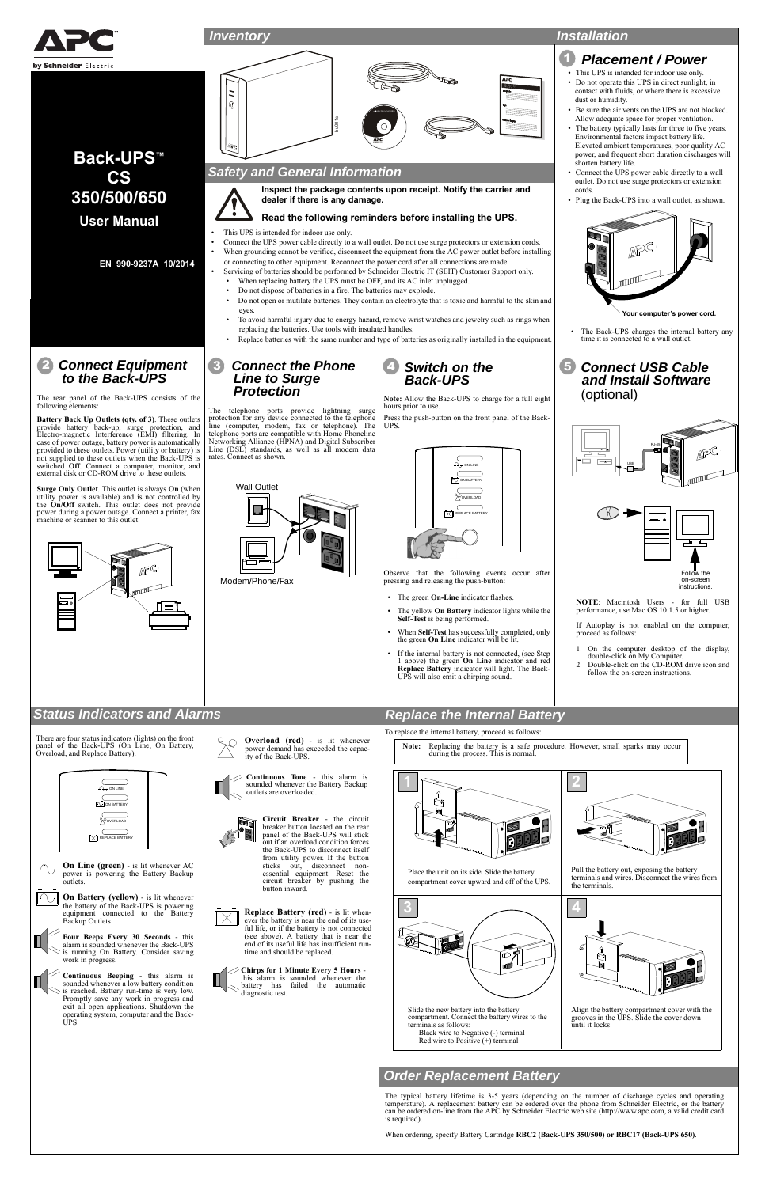**On Line (green)** - is lit whenever AC

power is powering the Battery Backup outlets.



**On Battery (yellow)** - is lit whenever the battery of the Back-UPS is powering equipment connected to the Battery Backup Outlets.

**Four Beeps Every 30 Seconds** - this alarm is sounded whenever the Back-UPSis running On Battery. Consider saving

work in progress.



**Continuous Beeping** - this alarm is sounded whenever a low battery condition is reached. Battery run-time is very low. Promptly save any work in progress and exit all open applications. Shutdown the operating system, computer and the Back-UPS.

 from utility power. If the button sticks out, disconnect non-

Pull the battery out, exposing

essential equipment. Reset the circuit breaker by pushing the button inward.

**Replace Battery (red)** - is lit whenever the battery is near the end of its use-ful life, or if the battery is not connected (see above). A battery that is near the end of its useful life has insufficient run-time and should be replaced.

**Chirps for 1 Minute Every 5 Hours** this alarm is sounded whenever the battery has failed the automatic diagnostic test.



The typical battery lifetime is 3-5 years (depending on the number of discharge cycles and operating temperature). A replacement battery can be ordered over the phone from Schneider Electric, or the battery can be ordered on-line from the APC by Schneider Electric web site (http://www.apc.com, a valid credit card is required).

When ordering, specify Battery Cartridge **RBC2 (Back-UPS 350/500) or RBC17 (Back-UPS 650)**.

# *Order Replacement Battery*

Place the unit on its side. Slide the battery compartment cover upward and off of the UPS.





Align the battery compartment cover with the grooves in the UPS. Slide the cover down until it locks.

terminals and wires. Disconnect the wires from

the terminals.

#### Slide the new battery into the battery compartment. Connect the battery wires to the terminals as follows: Black wire to Negative (-) terminal Red wire to Positive (+) terminal